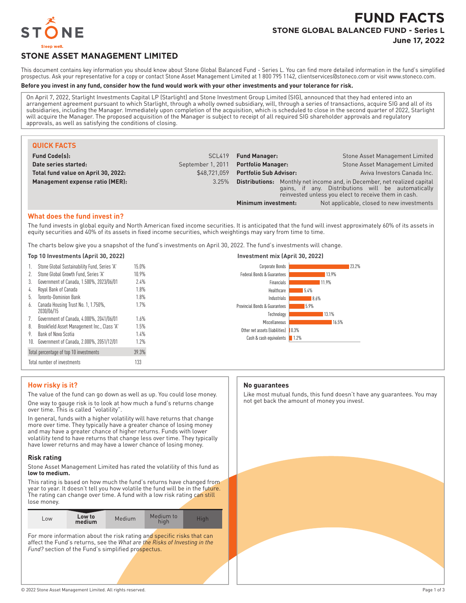

# **FUND FACTS STONE GLOBAL BALANCED FUND - Series L June 17, 2022**

# **STONE ASSET MANAGEMENT LIMITED**

This document contains key information you should know about Stone Global Balanced Fund - Series L. You can find more detailed information in the fund's simplified prospectus. Ask your representative for a copy or contact Stone Asset Management Limited at 1 800 795 1142, clientservices@stoneco.com or visit www.stoneco.com.

#### **Before you invest in any fund, consider how the fund would work with your other investments and your tolerance for risk.**

On April 7, 2022, Starlight Investments Capital LP (Starlight) and Stone Investment Group Limited (SIG), announced that they had entered into an arrangement agreement pursuant to which Starlight, through a wholly owned subsidiary, will, through a series of transactions, acquire SIG and all of its subsidiaries, including the Manager. Immediately upon completion of the acquisition, which is scheduled to close in the second quarter of 2022, Starlight will acquire the Manager. The proposed acquisition of the Manager is subject to receipt of all required SIG shareholder approvals and regulatory approvals, as well as satisfying the conditions of closing.

| <b>QUICK FACTS</b>                  |                   |                               |                                                                                                                                                                                               |
|-------------------------------------|-------------------|-------------------------------|-----------------------------------------------------------------------------------------------------------------------------------------------------------------------------------------------|
| <b>Fund Code(s):</b>                | SCL419            | <b>Fund Manager:</b>          | Stone Asset Management Limited                                                                                                                                                                |
| Date series started:                | September 1, 2011 | <b>Portfolio Manager:</b>     | Stone Asset Management Limited                                                                                                                                                                |
| Total fund value on April 30, 2022: | \$48.721.059      | <b>Portfolio Sub Advisor:</b> | Aviva Investors Canada Inc.                                                                                                                                                                   |
| Management expense ratio (MER):     | 3.25%             |                               | <b>Distributions:</b> Monthly net income and, in December, net realized capital<br>gains, if any. Distributions will be automatically<br>reinvested unless you elect to receive them in cash. |
|                                     |                   | Minimum investment:           | Not applicable, closed to new investments                                                                                                                                                     |

#### **What does the fund invest in?**

The fund invests in global equity and North American fixed income securities. It is anticipated that the fund will invest approximately 60% of its assets in equity securities and 40% of its assets in fixed income securities, which weightings may vary from time to time.

The charts below give you a snapshot of the fund's investments on April 30, 2022. The fund's investments will change.

| 1.  | Stone Global Sustainability Fund, Series 'A'      | 15.0% |
|-----|---------------------------------------------------|-------|
| 2.  | Stone Global Growth Fund. Series 'A'              | 10.9% |
| 3.  | Government of Canada, 1.500%, 2023/06/01          | 7.4%  |
| 4.  | Royal Bank of Canada                              | 1.8%  |
| 5.  | Toronto-Dominion Bank                             | 1.8%  |
| 6.  | Canada Housing Trust No. 1, 1.750%,<br>2030/06/15 | 1.7%  |
| 7.  | Government of Canada, 4.000%, 2041/06/01          | 1.6%  |
| 8.  | Brookfield Asset Management Inc., Class 'A'       | 1.5%  |
| 9.  | Bank of Nova Scotia                               | 1.4%  |
| 10. | Government of Canada, 2.000%, 2051/12/01          | 1.7%  |
|     | Total percentage of top 10 investments            | 39.3% |
|     | Total number of investments                       | 133   |



#### **How risky is it?**

The value of the fund can go down as well as up. You could lose money. One way to gauge risk is to look at how much a fund's returns change over time. This is called "volatility".

In general, funds with a higher volatility will have returns that change more over time. They typically have a greater chance of losing money and may have a greater chance of higher returns. Funds with lower volatility tend to have returns that change less over time. They typically have lower returns and may have a lower chance of losing money.

#### **Risk rating**

Stone Asset Management Limited has rated the volatility of this fund as **low to medium.**

This rating is based on how much the fund's returns have changed from year to year. It doesn't tell you how volatile the fund will be in the future. The rating can change over time. A fund with a low risk rating can still lose money.

| Low to<br>$-0W$<br>medium | Medium | Medium to<br>hiah | Hiah |
|---------------------------|--------|-------------------|------|
|---------------------------|--------|-------------------|------|

For more information about the risk rating and specific risks that can affect the Fund's returns, see the *What are the Risks of Investing in the* Fund? section of the Fund's simplified prospectus.

#### **No guarantees**

Like most mutual funds, this fund doesn't have any guarantees. You may not get back the amount of money you invest.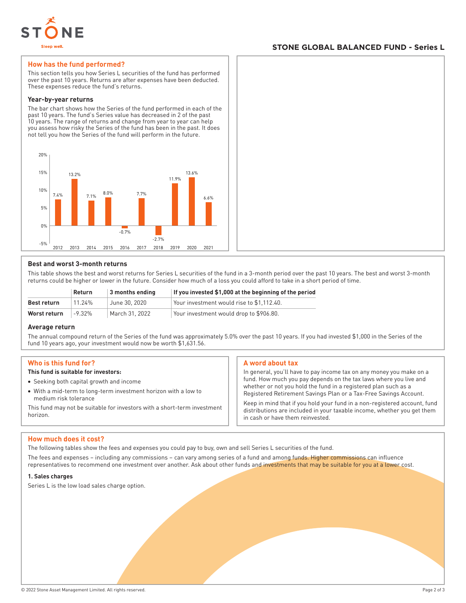

## **STONE GLOBAL BALANCED FUND - Series L**

#### **How has the fund performed?**

This section tells you how Series L securities of the fund has performed over the past 10 years. Returns are after expenses have been deducted. These expenses reduce the fund's returns.

#### **Year-by-year returns**

The bar chart shows how the Series of the fund performed in each of the past 10 years. The fund's Series value has decreased in 2 of the past 10 years. The range of returns and change from year to year can help you assess how risky the Series of the fund has been in the past. It does not tell you how the Series of the fund will perform in the future.



#### **Best and worst 3-month returns**

This table shows the best and worst returns for Series L securities of the fund in a 3-month period over the past 10 years. The best and worst 3-month returns could be higher or lower in the future. Consider how much of a loss you could afford to take in a short period of time.

|              | <b>Return</b> | $\vert$ 3 months ending | If you invested \$1,000 at the beginning of the period |
|--------------|---------------|-------------------------|--------------------------------------------------------|
| Best return  | 11 24%        | June 30, 2020           | Your investment would rise to \$1.112.40.              |
| Worst return | $-9.32\%$     | March 31, 2022          | Your investment would drop to \$906.80.                |

#### **Average return**

The annual compound return of the Series of the fund was approximately 5.0% over the past 10 years. If you had invested \$1,000 in the Series of the fund 10 years ago, your investment would now be worth \$1,631.56.

#### **Who is this fund for?**

### **This fund is suitable for investors:**

- Seeking both capital growth and income
- With a mid-term to long-term investment horizon with a low to medium risk tolerance

This fund may not be suitable for investors with a short-term investment horizon.

#### **A word about tax**

In general, you'll have to pay income tax on any money you make on a fund. How much you pay depends on the tax laws where you live and whether or not you hold the fund in a registered plan such as a Registered Retirement Savings Plan or a Tax-Free Savings Account.

Keep in mind that if you hold your fund in a non-registered account, fund distributions are included in your taxable income, whether you get them in cash or have them reinvested.

#### **How much does it cost?**

The following tables show the fees and expenses you could pay to buy, own and sell Series L securities of the fund.

The fees and expenses – including any commissions – can vary among series of a fund and among funds. Higher commissions can influence representatives to recommend one investment over another. Ask about other funds and investments that may be suitable for you at a lower cost.

#### **1. Sales charges**

Series L is the low load sales charge option.